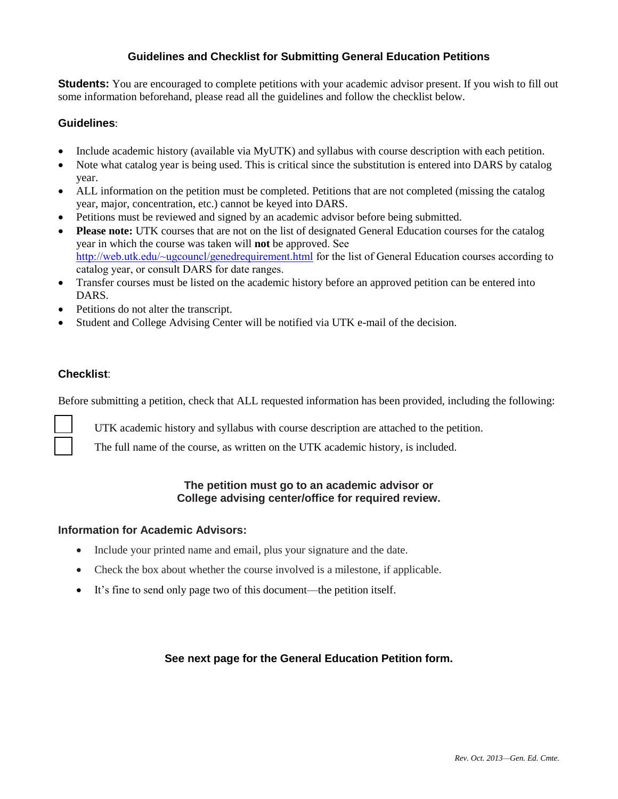# **Guidelines and Checklist for Submitting General Education Petitions**

**Students:** You are encouraged to complete petitions with your academic advisor present. If you wish to fill out some information beforehand, please read all the guidelines and follow the checklist below.

### **Guidelines**:

- Include academic history (available via MyUTK) and syllabus with course description with each petition.
- Note what catalog year is being used. This is critical since the substitution is entered into DARS by catalog year.
- ALL information on the petition must be completed. Petitions that are not completed (missing the catalog year, major, concentration, etc.) cannot be keyed into DARS.
- Petitions must be reviewed and signed by an academic advisor before being submitted.
- **Please note:** UTK courses that are not on the list of designated General Education courses for the catalog year in which the course was taken will **not** be approved. See <http://web.utk.edu/~ugcouncl/genedrequirement.html> for the list of General Education courses according to catalog year, or consult DARS for date ranges.
- Transfer courses must be listed on the academic history before an approved petition can be entered into DARS.
- Petitions do not alter the transcript.
- Student and College Advising Center will be notified via UTK e-mail of the decision.

## **Checklist**:

Before submitting a petition, check that ALL requested information has been provided, including the following:

UTK academic history and syllabus with course description are attached to the petition.

The full name of the course, as written on the UTK academic history, is included.

# **The petition must go to an academic advisor or College advising center/office for required review.**

### **Information for Academic Advisors:**

- Include your printed name and email, plus your signature and the date.
- Check the box about whether the course involved is a milestone, if applicable.
- It's fine to send only page two of this document—the petition itself.

### **See next page for the General Education Petition form.**